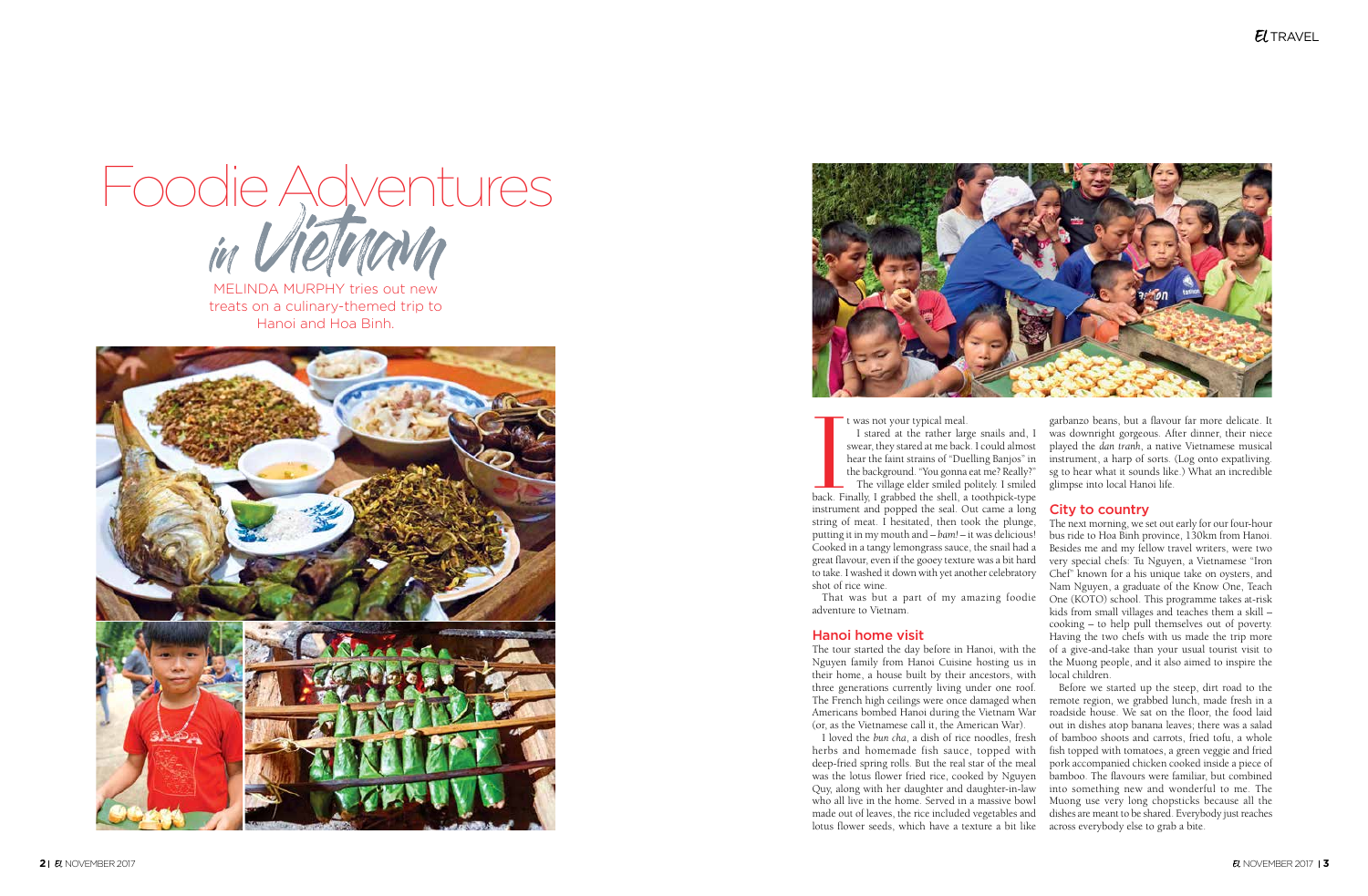MELINDA MURPHY tries out new treats on a culinary-themed trip to Hanoi and Hoa Binh.







### Hanoi home visit

I was not your typical meal.<br>
I stared at the rather large snails and, I<br>
swear, they stared at me back. I could almost<br>
hear the faint strains of "Duelling Banjos" in<br>
the background. "You gonna eat me? Really?"<br>
The vill t was not your typical meal. I stared at the rather large snails and, I swear, they stared at me back. I could almost hear the faint strains of "Duelling Banjos" in the background. "You gonna eat me? Really?" The village elder smiled politely. I smiled instrument and popped the seal. Out came a long string of meat. I hesitated, then took the plunge, putting it in my mouth and – *bam!* – it was delicious! Cooked in a tangy lemongrass sauce, the snail had a great flavour, even if the gooey texture was a bit hard to take. I washed it down with yet another celebratory shot of rice wine. garbanzo beans, but a flavour far more delicate. It was downright gorgeous. After dinner, their niece played the *dan tranh*, a native Vietnamese musical instrument, a harp of sorts. (Log onto expatliving. sg to hear what it sounds like.) What an incredible glimpse into local Hanoi life. City to country The next morning, we set out early for our four-hour bus ride to Hoa Binh province, 130km from Hanoi.

their home, a house built by their ancestors, with (or, as the Vietnamese call it, the American War).

That was but a part of my amazing foodie One (KOTO) school. This programme takes at-risk adventure to Vietnam. The tour started the day before in Hanoi, with the Nguyen family from Hanoi Cuisine hosting us in Besides me and my fellow travel writers, were two very special chefs: Tu Nguyen, a Vietnamese "Iron Chef" known for a his unique take on oysters, and Nam Nguyen, a graduate of the Know One, Teach kids from small villages and teaches them a skill – cooking – to help pull themselves out of poverty. Having the two chefs with us made the trip more of a give-and-take than your usual tourist visit to the Muong people, and it also aimed to inspire the local children.

three generations currently living under one roof. The French high ceilings were once damaged when Americans bombed Hanoi during the Vietnam War I loved the *bun cha*, a dish of rice noodles, fresh herbs and homemade fish sauce, topped with deep-fried spring rolls. But the real star of the meal was the lotus flower fried rice, cooked by Nguyen Quy, along with her daughter and daughter-in-law who all live in the home. Served in a massive bowl made out of leaves, the rice included vegetables and lotus flower seeds, which have a texture a bit like across everybody else to grab a bite.Before we started up the steep, dirt road to the remote region, we grabbed lunch, made fresh in a roadside house. We sat on the floor, the food laid out in dishes atop banana leaves; there was a salad of bamboo shoots and carrots, fried tofu, a whole fish topped with tomatoes, a green veggie and fried pork accompanied chicken cooked inside a piece of bamboo. The flavours were familiar, but combined into something new and wonderful to me. The Muong use very long chopsticks because all the dishes are meant to be shared. Everybody just reaches

# $E$ *TRAVEL*